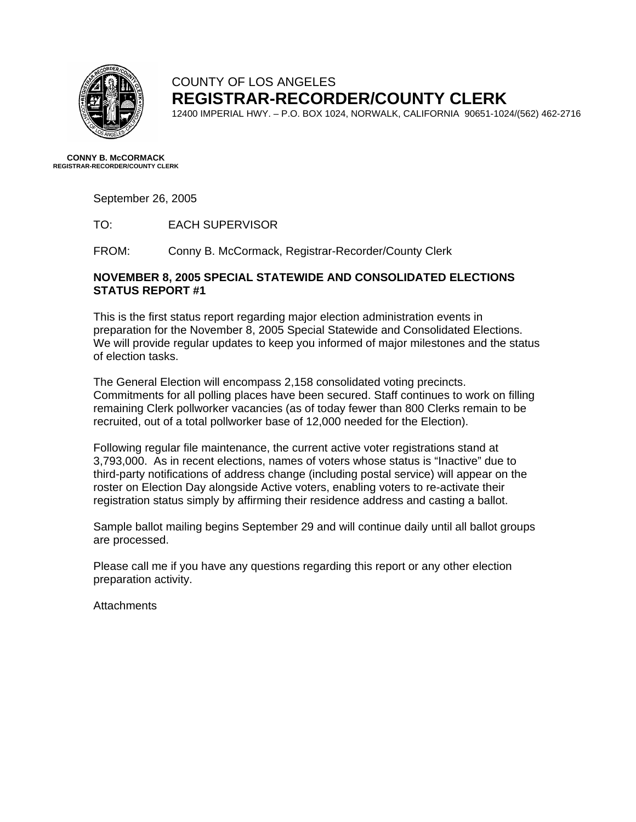

## COUNTY OF LOS ANGELES **REGISTRAR-RECORDER/COUNTY CLERK**

12400 IMPERIAL HWY. – P.O. BOX 1024, NORWALK, CALIFORNIA 90651-1024/(562) 462-2716

**CONNY B. McCORMACK REGISTRAR-RECORDER/COUNTY CLERK** 

September 26, 2005

TO: EACH SUPERVISOR

FROM: Conny B. McCormack, Registrar-Recorder/County Clerk

#### **NOVEMBER 8, 2005 SPECIAL STATEWIDE AND CONSOLIDATED ELECTIONS STATUS REPORT #1**

This is the first status report regarding major election administration events in preparation for the November 8, 2005 Special Statewide and Consolidated Elections. We will provide regular updates to keep you informed of major milestones and the status of election tasks.

The General Election will encompass 2,158 consolidated voting precincts. Commitments for all polling places have been secured. Staff continues to work on filling remaining Clerk pollworker vacancies (as of today fewer than 800 Clerks remain to be recruited, out of a total pollworker base of 12,000 needed for the Election).

Following regular file maintenance, the current active voter registrations stand at 3,793,000. As in recent elections, names of voters whose status is "Inactive" due to third-party notifications of address change (including postal service) will appear on the roster on Election Day alongside Active voters, enabling voters to re-activate their registration status simply by affirming their residence address and casting a ballot.

Sample ballot mailing begins September 29 and will continue daily until all ballot groups are processed.

Please call me if you have any questions regarding this report or any other election preparation activity.

**Attachments**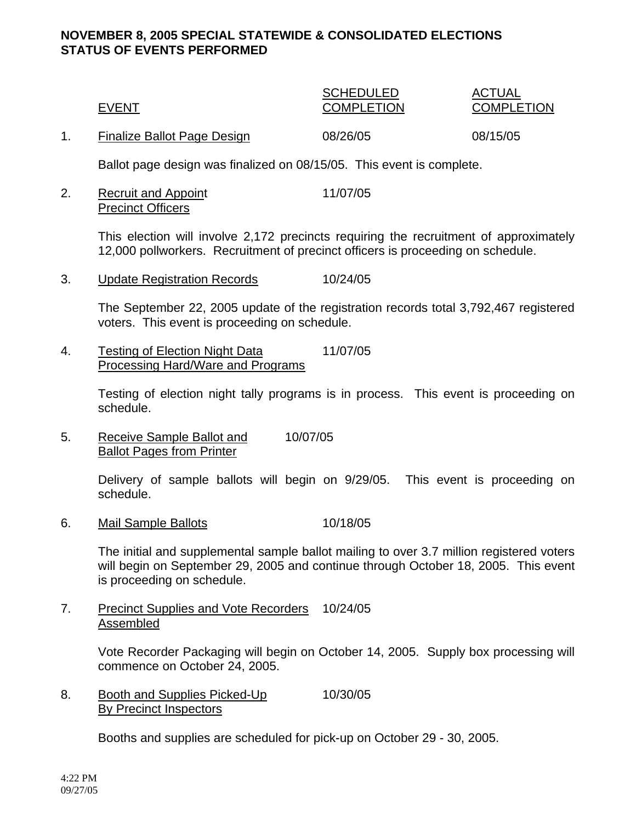### **NOVEMBER 8, 2005 SPECIAL STATEWIDE & CONSOLIDATED ELECTIONS STATUS OF EVENTS PERFORMED**

|              | <b>SCHEDULED</b>  | ACTUAL            |  |  |
|--------------|-------------------|-------------------|--|--|
| <b>EVENT</b> | <b>COMPLETION</b> | <b>COMPLETION</b> |  |  |
|              |                   |                   |  |  |

1. Finalize Ballot Page Design 08/26/05 08/15/05

Ballot page design was finalized on 08/15/05. This event is complete.

2. Recruit and Appoint 11/07/05 Precinct Officers

> This election will involve 2,172 precincts requiring the recruitment of approximately 12,000 pollworkers. Recruitment of precinct officers is proceeding on schedule.

3. Update Registration Records 10/24/05

The September 22, 2005 update of the registration records total 3,792,467 registered voters. This event is proceeding on schedule.

4. Testing of Election Night Data 11/07/05 Processing Hard/Ware and Programs

> Testing of election night tally programs is in process. This event is proceeding on schedule.

5. Receive Sample Ballot and 10/07/05 Ballot Pages from Printer

> Delivery of sample ballots will begin on 9/29/05. This event is proceeding on schedule.

6. Mail Sample Ballots 10/18/05

The initial and supplemental sample ballot mailing to over 3.7 million registered voters will begin on September 29, 2005 and continue through October 18, 2005. This event is proceeding on schedule.

7. Precinct Supplies and Vote Recorders 10/24/05 Assembled

> Vote Recorder Packaging will begin on October 14, 2005. Supply box processing will commence on October 24, 2005.

8. Booth and Supplies Picked-Up 10/30/05 By Precinct Inspectors

Booths and supplies are scheduled for pick-up on October 29 - 30, 2005.